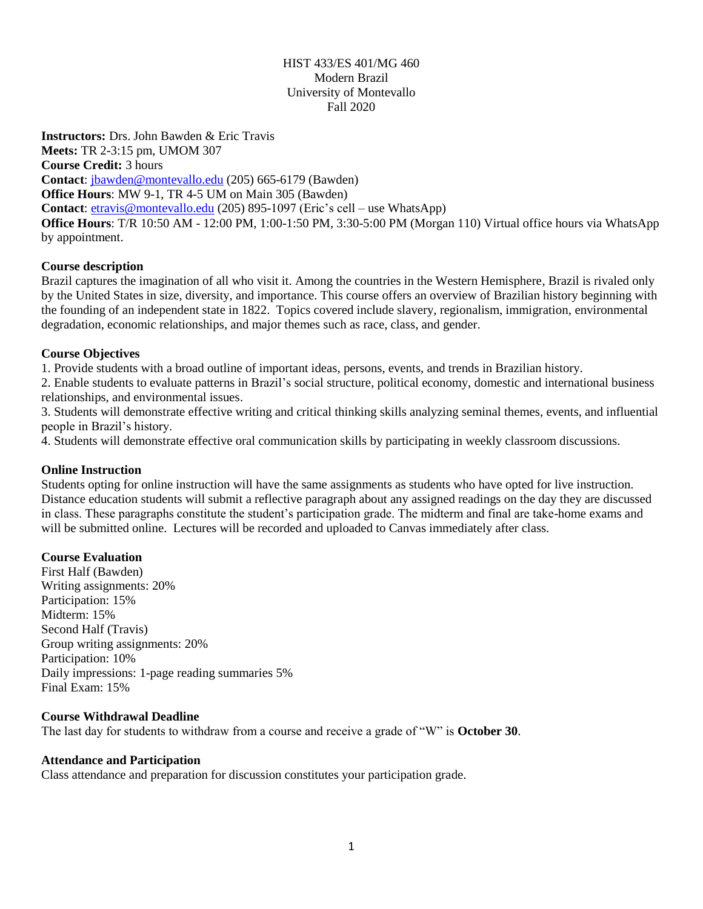## HIST 433/ES 401/MG 460 Modern Brazil University of Montevallo Fall 2020

**Instructors:** Drs. John Bawden & Eric Travis **Meets:** TR 2-3:15 pm, UMOM 307 **Course Credit:** 3 hours **Contact**: [jbawden@montevallo.edu](mailto:jbawden@montevallo.edu) (205) 665-6179 (Bawden) **Office Hours**: MW 9-1, TR 4-5 UM on Main 305 (Bawden) **Contact**: [etravis@montevallo.edu](mailto:etravis@montevallo.edu) (205) 895-1097 (Eric's cell – use WhatsApp) **Office Hours**: T/R 10:50 AM - 12:00 PM, 1:00-1:50 PM, 3:30-5:00 PM (Morgan 110) Virtual office hours via WhatsApp by appointment.

#### **Course description**

Brazil captures the imagination of all who visit it. Among the countries in the Western Hemisphere, Brazil is rivaled only by the United States in size, diversity, and importance. This course offers an overview of Brazilian history beginning with the founding of an independent state in 1822. Topics covered include slavery, regionalism, immigration, environmental degradation, economic relationships, and major themes such as race, class, and gender.

## **Course Objectives**

1. Provide students with a broad outline of important ideas, persons, events, and trends in Brazilian history.

2. Enable students to evaluate patterns in Brazil's social structure, political economy, domestic and international business relationships, and environmental issues.

3. Students will demonstrate effective writing and critical thinking skills analyzing seminal themes, events, and influential people in Brazil's history.

4. Students will demonstrate effective oral communication skills by participating in weekly classroom discussions.

#### **Online Instruction**

Students opting for online instruction will have the same assignments as students who have opted for live instruction. Distance education students will submit a reflective paragraph about any assigned readings on the day they are discussed in class. These paragraphs constitute the student's participation grade. The midterm and final are take-home exams and will be submitted online. Lectures will be recorded and uploaded to Canvas immediately after class.

# **Course Evaluation**

First Half (Bawden) Writing assignments: 20% Participation: 15% Midterm: 15% Second Half (Travis) Group writing assignments: 20% Participation: 10% Daily impressions: 1-page reading summaries 5% Final Exam: 15%

#### **Course Withdrawal Deadline**

The last day for students to withdraw from a course and receive a grade of "W" is **October 30**.

#### **Attendance and Participation**

Class attendance and preparation for discussion constitutes your participation grade.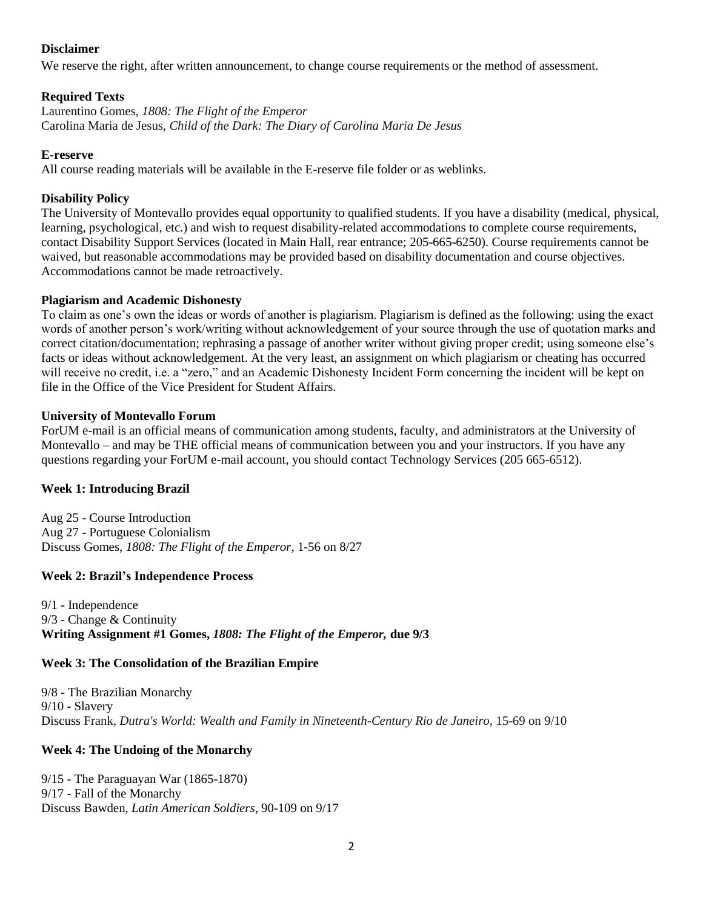#### **Disclaimer**

We reserve the right, after written announcement, to change course requirements or the method of assessment.

#### **Required Texts**

Laurentino Gomes, *1808: The Flight of the Emperor* Carolina Maria de Jesus, *Child of the Dark: The Diary of Carolina Maria De Jesus*

#### **E-reserve**

All course reading materials will be available in the E-reserve file folder or as weblinks.

#### **Disability Policy**

The University of Montevallo provides equal opportunity to qualified students. If you have a disability (medical, physical, learning, psychological, etc.) and wish to request disability-related accommodations to complete course requirements, contact Disability Support Services (located in Main Hall, rear entrance; 205-665-6250). Course requirements cannot be waived, but reasonable accommodations may be provided based on disability documentation and course objectives. Accommodations cannot be made retroactively.

#### **Plagiarism and Academic Dishonesty**

To claim as one's own the ideas or words of another is plagiarism. Plagiarism is defined as the following: using the exact words of another person's work/writing without acknowledgement of your source through the use of quotation marks and correct citation/documentation; rephrasing a passage of another writer without giving proper credit; using someone else's facts or ideas without acknowledgement. At the very least, an assignment on which plagiarism or cheating has occurred will receive no credit, i.e. a "zero," and an Academic Dishonesty Incident Form concerning the incident will be kept on file in the Office of the Vice President for Student Affairs.

## **University of Montevallo Forum**

ForUM e-mail is an official means of communication among students, faculty, and administrators at the University of Montevallo – and may be THE official means of communication between you and your instructors. If you have any questions regarding your ForUM e-mail account, you should contact Technology Services (205 665-6512).

#### **Week 1: Introducing Brazil**

Aug 25 - Course Introduction Aug 27 - Portuguese Colonialism Discuss Gomes, *1808: The Flight of the Emperor*, 1-56 on 8/27

#### **Week 2: Brazil's Independence Process**

9/1 - Independence 9/3 - Change & Continuity **Writing Assignment #1 Gomes,** *1808: The Flight of the Emperor,* **due 9/3**

#### **Week 3: The Consolidation of the Brazilian Empire**

9/8 - The Brazilian Monarchy 9/10 - Slavery Discuss Frank, *Dutra's World: Wealth and Family in Nineteenth-Century Rio de Janeiro*, 15-69 on 9/10

#### **Week 4: The Undoing of the Monarchy**

9/15 - The Paraguayan War (1865-1870) 9/17 - Fall of the Monarchy Discuss Bawden, *Latin American Soldiers*, 90-109 on 9/17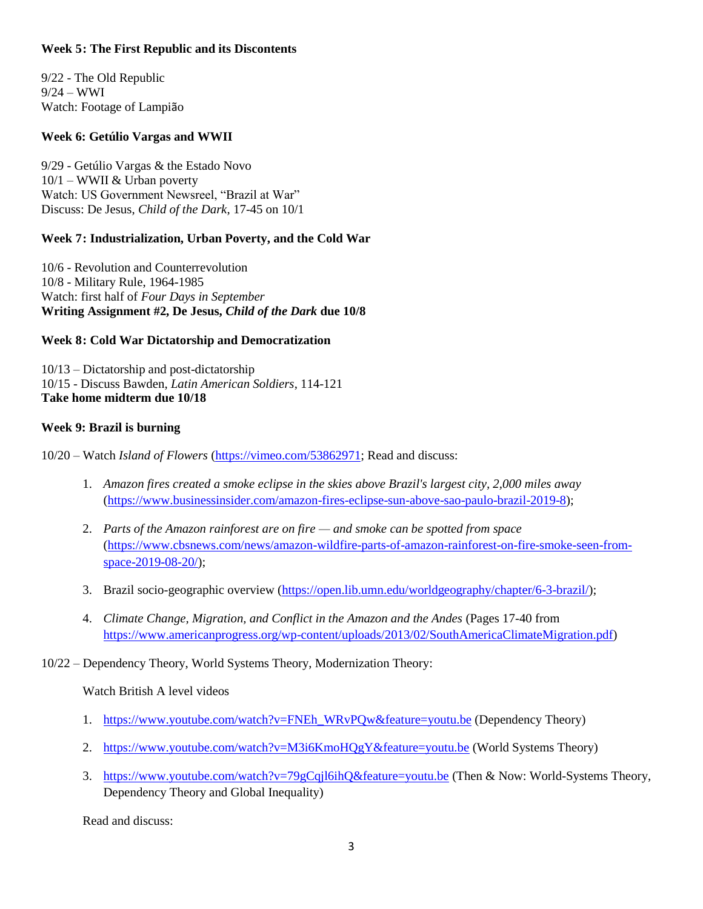#### **Week 5: The First Republic and its Discontents**

9/22 - The Old Republic  $9/24 - WWI$ Watch: Footage of Lampião

### **Week 6: Getúlio Vargas and WWII**

9/29 - Getúlio Vargas & the Estado Novo  $10/1 -$  WWII & Urban poverty Watch: US Government Newsreel, "Brazil at War" Discuss: De Jesus, *Child of the Dark*, 17-45 on 10/1

#### **Week 7: Industrialization, Urban Poverty, and the Cold War**

10/6 - Revolution and Counterrevolution 10/8 - Military Rule, 1964-1985 Watch: first half of *Four Days in September* **Writing Assignment #2, De Jesus,** *Child of the Dark* **due 10/8**

#### **Week 8: Cold War Dictatorship and Democratization**

10/13 – Dictatorship and post-dictatorship 10/15 - Discuss Bawden, *Latin American Soldiers*, 114-121 **Take home midterm due 10/18**

## **Week 9: Brazil is burning**

10/20 – Watch *Island of Flowers* [\(https://vimeo.com/53862971;](https://vimeo.com/53862971) Read and discuss:

- 1. *Amazon fires created a smoke eclipse in the skies above Brazil's largest city, 2,000 miles away*  [\(https://www.businessinsider.com/amazon-fires-eclipse-sun-above-sao-paulo-brazil-2019-8\)](https://www.businessinsider.com/amazon-fires-eclipse-sun-above-sao-paulo-brazil-2019-8);
- 2. *Parts of the Amazon rainforest are on fire — and smoke can be spotted from space* [\(https://www.cbsnews.com/news/amazon-wildfire-parts-of-amazon-rainforest-on-fire-smoke-seen-from](https://www.cbsnews.com/news/amazon-wildfire-parts-of-amazon-rainforest-on-fire-smoke-seen-from-space-2019-08-20/)[space-2019-08-20/\)](https://www.cbsnews.com/news/amazon-wildfire-parts-of-amazon-rainforest-on-fire-smoke-seen-from-space-2019-08-20/);
- 3. Brazil socio-geographic overview [\(https://open.lib.umn.edu/worldgeography/chapter/6-3-brazil/\)](https://open.lib.umn.edu/worldgeography/chapter/6-3-brazil/);
- 4. *Climate Change, Migration, and Conflict in the Amazon and the Andes* (Pages 17-40 from [https://www.americanprogress.org/wp-content/uploads/2013/02/SouthAmericaClimateMigration.pdf\)](https://www.americanprogress.org/wp-content/uploads/2013/02/SouthAmericaClimateMigration.pdf)

# 10/22 – Dependency Theory, World Systems Theory, Modernization Theory:

#### Watch British A level videos

- 1. [https://www.youtube.com/watch?v=FNEh\\_WRvPQw&feature=youtu.be](https://www.youtube.com/watch?v=FNEh_WRvPQw&feature=youtu.be) (Dependency Theory)
- 2. <https://www.youtube.com/watch?v=M3i6KmoHQgY&feature=youtu.be> (World Systems Theory)
- 3. <https://www.youtube.com/watch?v=79gCqjl6ihQ&feature=youtu.be> (Then & Now: World-Systems Theory, Dependency Theory and Global Inequality)

Read and discuss: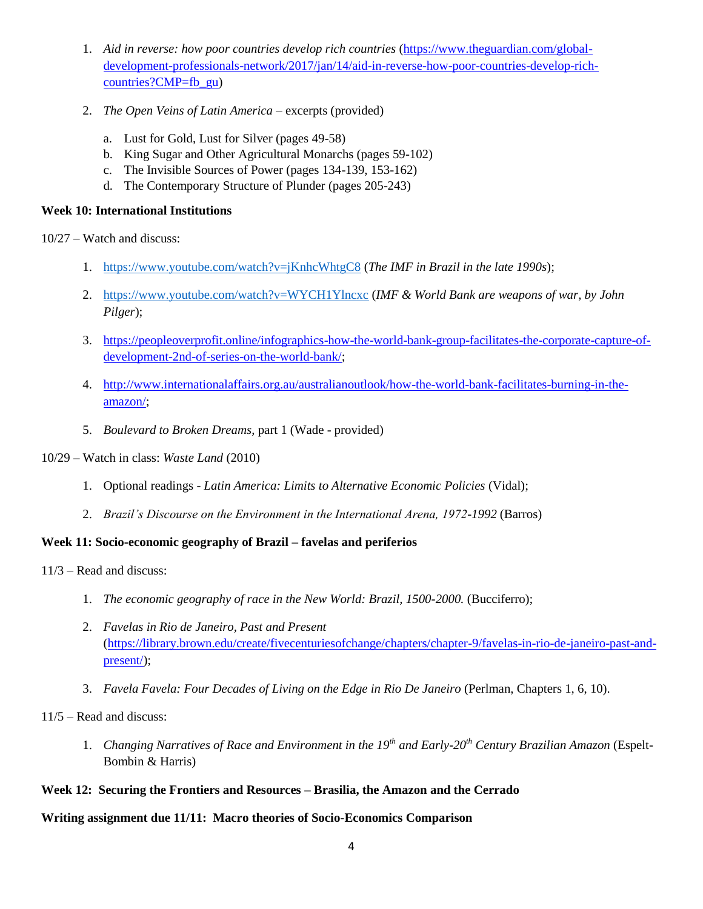- 1. *Aid in reverse: how poor countries develop rich countries* [\(https://www.theguardian.com/global](https://www.theguardian.com/global-development-professionals-network/2017/jan/14/aid-in-reverse-how-poor-countries-develop-rich-countries?CMP=fb_gu)[development-professionals-network/2017/jan/14/aid-in-reverse-how-poor-countries-develop-rich](https://www.theguardian.com/global-development-professionals-network/2017/jan/14/aid-in-reverse-how-poor-countries-develop-rich-countries?CMP=fb_gu)[countries?CMP=fb\\_gu\)](https://www.theguardian.com/global-development-professionals-network/2017/jan/14/aid-in-reverse-how-poor-countries-develop-rich-countries?CMP=fb_gu)
- 2. *The Open Veins of Latin America* excerpts (provided)
	- a. Lust for Gold, Lust for Silver (pages 49-58)
	- b. King Sugar and Other Agricultural Monarchs (pages 59-102)
	- c. The Invisible Sources of Power (pages 134-139, 153-162)
	- d. The Contemporary Structure of Plunder (pages 205-243)

#### **Week 10: International Institutions**

10/27 – Watch and discuss:

- 1. <https://www.youtube.com/watch?v=jKnhcWhtgC8> (*The IMF in Brazil in the late 1990s*);
- 2. <https://www.youtube.com/watch?v=WYCH1Ylncxc> (*IMF & World Bank are weapons of war, by John Pilger*);
- 3. [https://peopleoverprofit.online/infographics-how-the-world-bank-group-facilitates-the-corporate-capture-of](https://peopleoverprofit.online/infographics-how-the-world-bank-group-facilitates-the-corporate-capture-of-development-2nd-of-series-on-the-world-bank/)[development-2nd-of-series-on-the-world-bank/;](https://peopleoverprofit.online/infographics-how-the-world-bank-group-facilitates-the-corporate-capture-of-development-2nd-of-series-on-the-world-bank/)
- 4. [http://www.internationalaffairs.org.au/australianoutlook/how-the-world-bank-facilitates-burning-in-the](http://www.internationalaffairs.org.au/australianoutlook/how-the-world-bank-facilitates-burning-in-the-amazon/)[amazon/;](http://www.internationalaffairs.org.au/australianoutlook/how-the-world-bank-facilitates-burning-in-the-amazon/)
- 5. *Boulevard to Broken Dreams*, part 1 (Wade provided)
- 10/29 Watch in class: *Waste Land* (2010)
	- 1. Optional readings *Latin America: Limits to Alternative Economic Policies* (Vidal);
	- 2. *Brazil's Discourse on the Environment in the International Arena, 1972-1992* (Barros)

# **Week 11: Socio-economic geography of Brazil – favelas and periferios**

11/3 – Read and discuss:

- 1. *The economic geography of race in the New World: Brazil, 1500-2000.* (Bucciferro);
- 2. *Favelas in Rio de Janeiro, Past and Present*  [\(https://library.brown.edu/create/fivecenturiesofchange/chapters/chapter-9/favelas-in-rio-de-janeiro-past-and](https://library.brown.edu/create/fivecenturiesofchange/chapters/chapter-9/favelas-in-rio-de-janeiro-past-and-present/)[present/\)](https://library.brown.edu/create/fivecenturiesofchange/chapters/chapter-9/favelas-in-rio-de-janeiro-past-and-present/);
- 3. *Favela Favela: Four Decades of Living on the Edge in Rio De Janeiro* (Perlman, Chapters 1, 6, 10).

11/5 – Read and discuss:

1. *Changing Narratives of Race and Environment in the 19th and Early-20th Century Brazilian Amazon* (Espelt-Bombin & Harris)

# **Week 12: Securing the Frontiers and Resources – Brasilia, the Amazon and the Cerrado**

#### **Writing assignment due 11/11: Macro theories of Socio-Economics Comparison**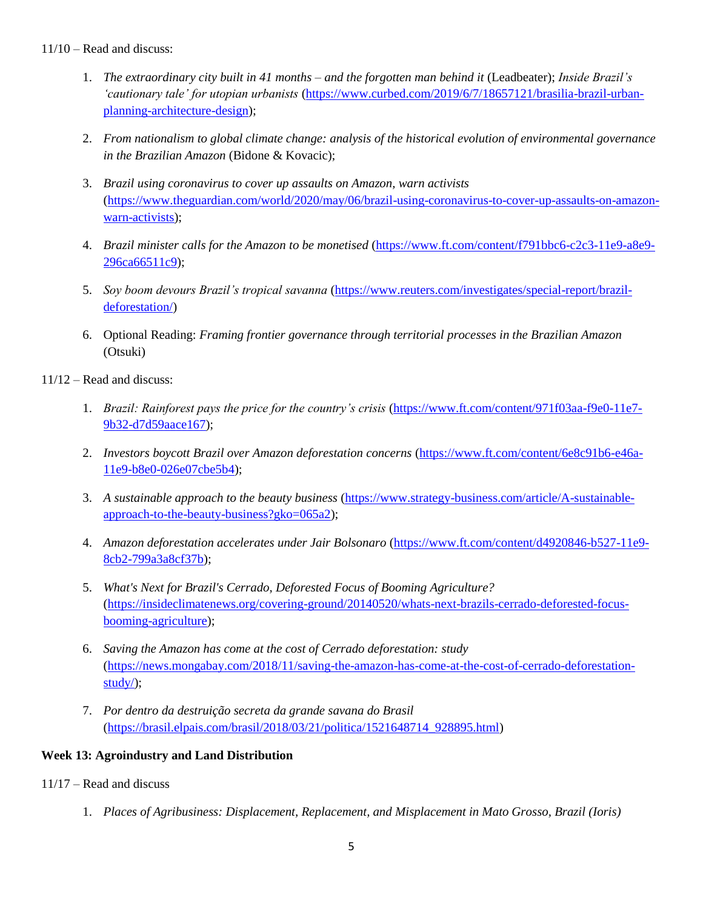## 11/10 – Read and discuss:

- 1. *The extraordinary city built in 41 months – and the forgotten man behind it* (Leadbeater); *Inside Brazil's 'cautionary tale' for utopian urbanists* [\(https://www.curbed.com/2019/6/7/18657121/brasilia-brazil-urban](https://www.curbed.com/2019/6/7/18657121/brasilia-brazil-urban-planning-architecture-design)[planning-architecture-design\)](https://www.curbed.com/2019/6/7/18657121/brasilia-brazil-urban-planning-architecture-design);
- 2. *From nationalism to global climate change: analysis of the historical evolution of environmental governance in the Brazilian Amazon* (Bidone & Kovacic);
- 3. *Brazil using coronavirus to cover up assaults on Amazon, warn activists* [\(https://www.theguardian.com/world/2020/may/06/brazil-using-coronavirus-to-cover-up-assaults-on-amazon](https://www.theguardian.com/world/2020/may/06/brazil-using-coronavirus-to-cover-up-assaults-on-amazon-warn-activists)[warn-activists\)](https://www.theguardian.com/world/2020/may/06/brazil-using-coronavirus-to-cover-up-assaults-on-amazon-warn-activists);
- 4. *Brazil minister calls for the Amazon to be monetised* [\(https://www.ft.com/content/f791bbc6-c2c3-11e9-a8e9-](https://www.ft.com/content/f791bbc6-c2c3-11e9-a8e9-296ca66511c9) [296ca66511c9\)](https://www.ft.com/content/f791bbc6-c2c3-11e9-a8e9-296ca66511c9);
- 5. *Soy boom devours Brazil's tropical savanna* [\(https://www.reuters.com/investigates/special-report/brazil](https://www.reuters.com/investigates/special-report/brazil-deforestation/)[deforestation/\)](https://www.reuters.com/investigates/special-report/brazil-deforestation/)
- 6. Optional Reading: *Framing frontier governance through territorial processes in the Brazilian Amazon* (Otsuki)
- 11/12 Read and discuss:
	- 1. *Brazil: Rainforest pays the price for the country's crisis* [\(https://www.ft.com/content/971f03aa-f9e0-11e7-](https://www.ft.com/content/971f03aa-f9e0-11e7-9b32-d7d59aace167) [9b32-d7d59aace167\)](https://www.ft.com/content/971f03aa-f9e0-11e7-9b32-d7d59aace167);
	- 2. *Investors boycott Brazil over Amazon deforestation concerns* [\(https://www.ft.com/content/6e8c91b6-e46a-](https://www.ft.com/content/6e8c91b6-e46a-11e9-b8e0-026e07cbe5b4)[11e9-b8e0-026e07cbe5b4\)](https://www.ft.com/content/6e8c91b6-e46a-11e9-b8e0-026e07cbe5b4);
	- 3. *A sustainable approach to the beauty business* [\(https://www.strategy-business.com/article/A-sustainable](https://www.strategy-business.com/article/A-sustainable-approach-to-the-beauty-business?gko=065a2)[approach-to-the-beauty-business?gko=065a2\)](https://www.strategy-business.com/article/A-sustainable-approach-to-the-beauty-business?gko=065a2);
	- 4. *Amazon deforestation accelerates under Jair Bolsonaro* [\(https://www.ft.com/content/d4920846-b527-11e9-](https://www.ft.com/content/d4920846-b527-11e9-8cb2-799a3a8cf37b) [8cb2-799a3a8cf37b\)](https://www.ft.com/content/d4920846-b527-11e9-8cb2-799a3a8cf37b);
	- 5. *What's Next for Brazil's Cerrado, Deforested Focus of Booming Agriculture?*  [\(https://insideclimatenews.org/covering-ground/20140520/whats-next-brazils-cerrado-deforested-focus](https://insideclimatenews.org/covering-ground/20140520/whats-next-brazils-cerrado-deforested-focus-booming-agriculture)[booming-agriculture\)](https://insideclimatenews.org/covering-ground/20140520/whats-next-brazils-cerrado-deforested-focus-booming-agriculture);
	- 6. *Saving the Amazon has come at the cost of Cerrado deforestation: study* [\(https://news.mongabay.com/2018/11/saving-the-amazon-has-come-at-the-cost-of-cerrado-deforestation](https://news.mongabay.com/2018/11/saving-the-amazon-has-come-at-the-cost-of-cerrado-deforestation-study/)[study/\)](https://news.mongabay.com/2018/11/saving-the-amazon-has-come-at-the-cost-of-cerrado-deforestation-study/);
	- 7. *Por dentro da destruição secreta da grande savana do Brasil* [\(https://brasil.elpais.com/brasil/2018/03/21/politica/1521648714\\_928895.html\)](https://brasil.elpais.com/brasil/2018/03/21/politica/1521648714_928895.html)

# **Week 13: Agroindustry and Land Distribution**

- 11/17 Read and discuss
	- 1. *Places of Agribusiness: Displacement, Replacement, and Misplacement in Mato Grosso, Brazil (Ioris)*